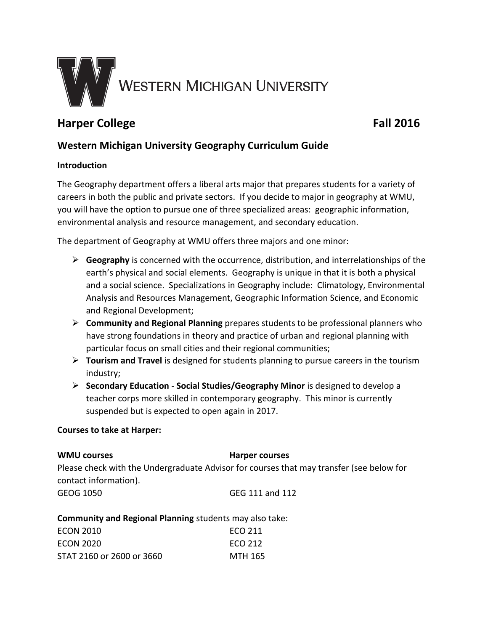

# **Harper College Fall 2016**

# **Western Michigan University Geography Curriculum Guide**

#### **Introduction**

The Geography department offers a liberal arts major that prepares students for a variety of careers in both the public and private sectors. If you decide to major in geography at WMU, you will have the option to pursue one of three specialized areas: geographic information, environmental analysis and resource management, and secondary education.

The department of Geography at WMU offers three majors and one minor:

- **Geography** is concerned with the occurrence, distribution, and interrelationships of the earth's physical and social elements. Geography is unique in that it is both a physical and a social science. Specializations in Geography include: Climatology, Environmental Analysis and Resources Management, Geographic Information Science, and Economic and Regional Development;
- **Community and Regional Planning** prepares students to be professional planners who have strong foundations in theory and practice of urban and regional planning with particular focus on small cities and their regional communities;
- **Tourism and Travel** is designed for students planning to pursue careers in the tourism industry;
- **Secondary Education - Social Studies/Geography Minor** is designed to develop a teacher corps more skilled in contemporary geography. This minor is currently suspended but is expected to open again in 2017.

#### **Courses to take at Harper:**

## **WMU courses Harper courses** Please check with the Undergraduate Advisor for courses that may transfer (see below for contact information). GEOG 1050 GEG 111 and 112

**Community and Regional Planning** students may also take:

| ECON 2010                 | FCO 211 |
|---------------------------|---------|
| ECON 2020                 | FCO 212 |
| STAT 2160 or 2600 or 3660 | MTH 165 |